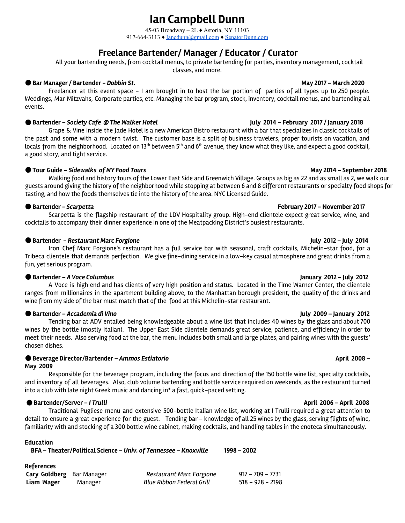# **Ian Campbell Dunn**

45-03 Broadway – 2L ♦ Astoria, NY 11103 917-664-3113 ♦ [Iancdunn@gmail.com](mailto:Iancdunn@gmail.com) ♦ [SenatorDunn.com](http://senatordunn.com/)

## **Freelance Bartender/ Manager / Educator / Curator**

All your bartending needs, from cocktail menus, to private bartending for parties, inventory management, cocktail classes, and more.

### ● **Bar Manager / Bartender -** *Dobbin St.* **May 2017 - March 2020**

Freelancer at this event space - I am brought in to host the bar portion of parties of all types up to 250 people. Weddings, Mar Mitzvahs, Corporate parties, etc. Managing the bar program, stock, inventory, cocktail menus, and bartending all events.

### ● **Bartender –** *Society Cafe @ The Walker Hotel* **July 2014 – February 2017 / January 2018**

Grape & Vine inside the Jade Hotel is a new American Bistro restaurant with a bar that specializes in classic cocktails of the past and some with a modern twist. The customer base is a split of business travelers, proper tourists on vacation, and locals from the neighborhood. Located on 13<sup>th</sup> between 5<sup>th</sup> and 6<sup>th</sup> avenue, they know what they like, and expect a good cocktail, a good story, and tight service.

### ● **Tour Guide** *– Sidewalks of NY Food Tours* **May 2014 - September 2018**

Walking food and history tours of the Lower East Side and Greenwich Village. Groups as big as 22 and as small as 2, we walk our guests around giving the history of the neighborhood while stopping at between 6 and 8 different restaurants or specialty food shops for tasting, and how the foods themselves tie into the history of the area. NYC Licensed Guide.

### ● **Bartender -** *Scarpetta* **February 2017 - November 2017**

Scarpetta is the flagship restaurant of the LDV Hospitality group. High-end clientele expect great service, wine, and cocktails to accompany their dinner experience in one of the Meatpacking District's busiest restaurants.

### ● **Bartender -** *Restaurant Marc Forgione* **July 2012 – July 2014**

Iron Chef Marc Forgione's restaurant has a full service bar with seasonal, craft cocktails, Michelin-star food, for a Tribeca clientele that demands perfection. We give fine-dining service in a low-key casual atmosphere and great drinks from a fun, yet serious program.

### ● **Bartender –** *A Voce Columbus* **January 2012 – July 2012**

A Voce is high end and has clients of very high position and status. Located in the Time Warner Center, the clientele ranges from millionaires in the apartment building above, to the Manhattan borough president, the quality of the drinks and wine from my side of the bar must match that of the food at this Michelin-star restaurant.

### ● **Bartender –** *Accademia di Vino* **July 2009 – January 2012**

Tending bar at ADV entailed being knowledgeable about a wine list that includes 40 wines by the glass and about 700 wines by the bottle (mostly Italian). The Upper East Side clientele demands great service, patience, and efficiency in order to meet their needs. Also serving food at the bar, the menu includes both small and large plates, and pairing wines with the guests' chosen dishes.

### ● **Beverage Director/Bartender –** *Ammos Estiatorio* **April 2008 – May 2009**

Responsible for the beverage program, including the focus and direction of the 150 bottle wine list, specialty cocktails, and inventory of all beverages. Also, club volume bartending and bottle service required on weekends, as the restaurant turned into a club with late night Greek music and dancing in\* a fast, quick-paced setting.

### ● **Bartender/Server –** *I Trulli* **April 2006 – April 2008**

Traditional Pugliese menu and extensive 500-bottle Italian wine list, working at I Trulli required a great attention to detail to ensure a great experience for the guest. Tending bar – knowledge of all 25 wines by the glass, serving flights of wine, familiarity with and stocking of a 300 bottle wine cabinet, making cocktails, and handling tables in the enoteca simultaneously.

### **Education**

**BFA – Theater/Political Science –** *Univ. of Tennessee – Knoxville* **1998 – 2002**

| <b>References</b>                |         |                           |                  |
|----------------------------------|---------|---------------------------|------------------|
| <b>Cary Goldberg</b> Bar Manager |         | Restaurant Marc Forgione  | 917 – 709 – 7731 |
| Liam Wager                       | Manager | Blue Ribbon Federal Grill | 518 – 928 – 2198 |